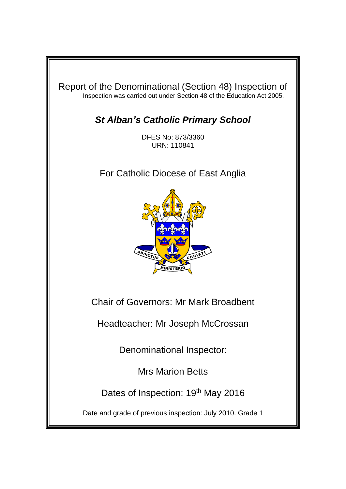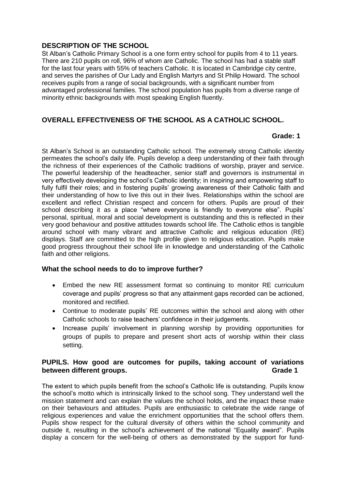## **DESCRIPTION OF THE SCHOOL**

St Alban's Catholic Primary School is a one form entry school for pupils from 4 to 11 years. There are 210 pupils on roll, 96% of whom are Catholic. The school has had a stable staff for the last four years with 55% of teachers Catholic. It is located in Cambridge city centre, and serves the parishes of Our Lady and English Martyrs and St Philip Howard. The school receives pupils from a range of social backgrounds, with a significant number from advantaged professional families. The school population has pupils from a diverse range of minority ethnic backgrounds with most speaking English fluently.

# **OVERALL EFFECTIVENESS OF THE SCHOOL AS A CATHOLIC SCHOOL.**

#### **Grade: 1**

St Alban's School is an outstanding Catholic school. The extremely strong Catholic identity permeates the school's daily life. Pupils develop a deep understanding of their faith through the richness of their experiences of the Catholic traditions of worship, prayer and service. The powerful leadership of the headteacher, senior staff and governors is instrumental in very effectively developing the school's Catholic identity; in inspiring and empowering staff to fully fulfil their roles; and in fostering pupils' growing awareness of their Catholic faith and their understanding of how to live this out in their lives. Relationships within the school are excellent and reflect Christian respect and concern for others. Pupils are proud of their school describing it as a place "where everyone is friendly to everyone else". Pupils' personal, spiritual, moral and social development is outstanding and this is reflected in their very good behaviour and positive attitudes towards school life. The Catholic ethos is tangible around school with many vibrant and attractive Catholic and religious education (RE) displays. Staff are committed to the high profile given to religious education. Pupils make good progress throughout their school life in knowledge and understanding of the Catholic faith and other religions.

## **What the school needs to do to improve further?**

- Embed the new RE assessment format so continuing to monitor RE curriculum coverage and pupils' progress so that any attainment gaps recorded can be actioned, monitored and rectified.
- Continue to moderate pupils' RE outcomes within the school and along with other Catholic schools to raise teachers' confidence in their judgements.
- Increase pupils' involvement in planning worship by providing opportunities for groups of pupils to prepare and present short acts of worship within their class setting.

## **PUPILS. How good are outcomes for pupils, taking account of variations between different groups.** The same state of the state of the state of the state of the state of the state of the state of the state of the state of the state of the state of the state of the state of the state of the sta

The extent to which pupils benefit from the school's Catholic life is outstanding. Pupils know the school's motto which is intrinsically linked to the school song. They understand well the mission statement and can explain the values the school holds, and the impact these make on their behaviours and attitudes. Pupils are enthusiastic to celebrate the wide range of religious experiences and value the enrichment opportunities that the school offers them. Pupils show respect for the cultural diversity of others within the school community and outside it, resulting in the school's achievement of the national "Equality award". Pupils display a concern for the well-being of others as demonstrated by the support for fund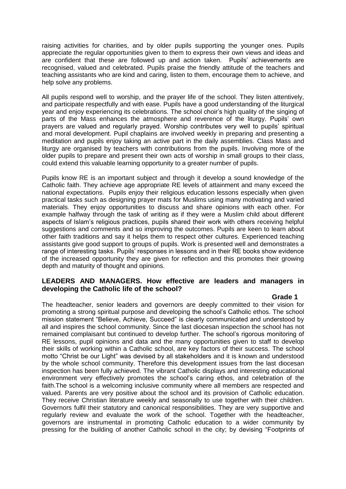raising activities for charities, and by older pupils supporting the younger ones. Pupils appreciate the regular opportunities given to them to express their own views and ideas and are confident that these are followed up and action taken. Pupils' achievements are recognised, valued and celebrated. Pupils praise the friendly attitude of the teachers and teaching assistants who are kind and caring, listen to them, encourage them to achieve, and help solve any problems.

All pupils respond well to worship, and the prayer life of the school. They listen attentively, and participate respectfully and with ease. Pupils have a good understanding of the liturgical year and enjoy experiencing its celebrations. The school choir's high quality of the singing of parts of the Mass enhances the atmosphere and reverence of the liturgy. Pupils' own prayers are valued and regularly prayed. Worship contributes very well to pupils' spiritual and moral development. Pupil chaplains are involved weekly in preparing and presenting a meditation and pupils enjoy taking an active part in the daily assemblies. Class Mass and liturgy are organised by teachers with contributions from the pupils. Involving more of the older pupils to prepare and present their own acts of worship in small groups to their class, could extend this valuable learning opportunity to a greater number of pupils.

Pupils know RE is an important subject and through it develop a sound knowledge of the Catholic faith. They achieve age appropriate RE levels of attainment and many exceed the national expectations. Pupils enjoy their religious education lessons especially when given practical tasks such as designing prayer mats for Muslims using many motivating and varied materials. They enjoy opportunities to discuss and share opinions with each other. For example halfway through the task of writing as if they were a Muslim child about different aspects of Islam's religious practices, pupils shared their work with others receiving helpful suggestions and comments and so improving the outcomes. Pupils are keen to learn about other faith traditions and say it helps them to respect other cultures. Experienced teaching assistants give good support to groups of pupils. Work is presented well and demonstrates a range of interesting tasks. Pupils' responses in lessons and in their RE books show evidence of the increased opportunity they are given for reflection and this promotes their growing depth and maturity of thought and opinions.

## **LEADERS AND MANAGERS. How effective are leaders and managers in developing the Catholic life of the school?**

#### **Grade 1**

The headteacher, senior leaders and governors are deeply committed to their vision for promoting a strong spiritual purpose and developing the school's Catholic ethos. The school mission statement "Believe, Achieve, Succeed" is clearly communicated and understood by all and inspires the school community. Since the last diocesan inspection the school has not remained complaisant but continued to develop further. The school's rigorous monitoring of RE lessons, pupil opinions and data and the many opportunities given to staff to develop their skills of working within a Catholic school, are key factors of their success. The school motto "Christ be our Light" was devised by all stakeholders and it is known and understood by the whole school community. Therefore this development issues from the last diocesan inspection has been fully achieved. The vibrant Catholic displays and interesting educational environment very effectively promotes the school's caring ethos, and celebration of the faith.The school is a welcoming inclusive community where all members are respected and valued. Parents are very positive about the school and its provision of Catholic education. They receive Christian literature weekly and seasonally to use together with their children. Governors fulfil their statutory and canonical responsibilities. They are very supportive and regularly review and evaluate the work of the school. Together with the headteacher, governors are instrumental in promoting Catholic education to a wider community by pressing for the building of another Catholic school in the city; by devising "Footprints of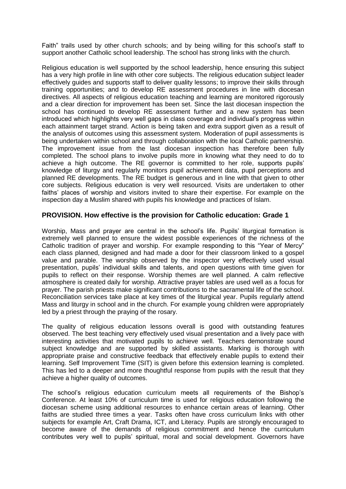Faith" trails used by other church schools; and by being willing for this school's staff to support another Catholic school leadership. The school has strong links with the church.

Religious education is well supported by the school leadership, hence ensuring this subject has a very high profile in line with other core subjects. The religious education subject leader effectively guides and supports staff to deliver quality lessons; to improve their skills through training opportunities; and to develop RE assessment procedures in line with diocesan directives. All aspects of religious education teaching and learning are monitored rigorously and a clear direction for improvement has been set. Since the last diocesan inspection the school has continued to develop RE assessment further and a new system has been introduced which highlights very well gaps in class coverage and individual's progress within each attainment target strand. Action is being taken and extra support given as a result of the analysis of outcomes using this assessment system. Moderation of pupil assessments is being undertaken within school and through collaboration with the local Catholic partnership. The improvement issue from the last diocesan inspection has therefore been fully completed. The school plans to involve pupils more in knowing what they need to do to achieve a high outcome. The RE governor is committed to her role, supports pupils' knowledge of liturgy and regularly monitors pupil achievement data, pupil perceptions and planned RE developments. The RE budget is generous and in line with that given to other core subjects. Religious education is very well resourced. Visits are undertaken to other faiths' places of worship and visitors invited to share their expertise. For example on the inspection day a Muslim shared with pupils his knowledge and practices of Islam.

## **PROVISION. How effective is the provision for Catholic education: Grade 1**

Worship, Mass and prayer are central in the school's life. Pupils' liturgical formation is extremely well planned to ensure the widest possible experiences of the richness of the Catholic tradition of prayer and worship. For example responding to this "Year of Mercy" each class planned, designed and had made a door for their classroom linked to a gospel value and parable. The worship observed by the inspector very effectively used visual presentation, pupils' individual skills and talents, and open questions with time given for pupils to reflect on their response. Worship themes are well planned. A calm reflective atmosphere is created daily for worship. Attractive prayer tables are used well as a focus for prayer. The parish priests make significant contributions to the sacramental life of the school. Reconciliation services take place at key times of the liturgical year. Pupils regularly attend Mass and liturgy in school and in the church. For example young children were appropriately led by a priest through the praying of the rosary.

The quality of religious education lessons overall is good with outstanding features observed. The best teaching very effectively used visual presentation and a lively pace with interesting activities that motivated pupils to achieve well. Teachers demonstrate sound subject knowledge and are supported by skilled assistants. Marking is thorough with appropriate praise and constructive feedback that effectively enable pupils to extend their learning. Self Improvement Time (SIT) is given before this extension learning is completed. This has led to a deeper and more thoughtful response from pupils with the result that they achieve a higher quality of outcomes.

The school's religious education curriculum meets all requirements of the Bishop's Conference. At least 10% of curriculum time is used for religious education following the diocesan scheme using additional resources to enhance certain areas of learning. Other faiths are studied three times a year. Tasks often have cross curriculum links with other subjects for example Art, Craft Drama, ICT, and Literacy. Pupils are strongly encouraged to become aware of the demands of religious commitment and hence the curriculum contributes very well to pupils' spiritual, moral and social development. Governors have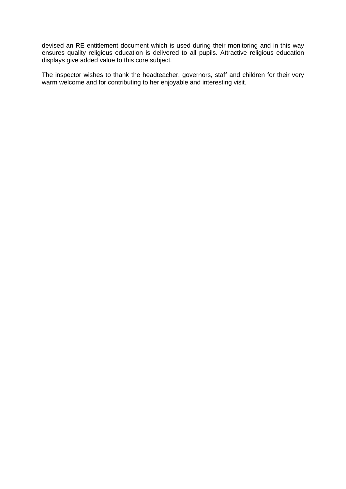devised an RE entitlement document which is used during their monitoring and in this way ensures quality religious education is delivered to all pupils. Attractive religious education displays give added value to this core subject.

The inspector wishes to thank the headteacher, governors, staff and children for their very warm welcome and for contributing to her enjoyable and interesting visit.